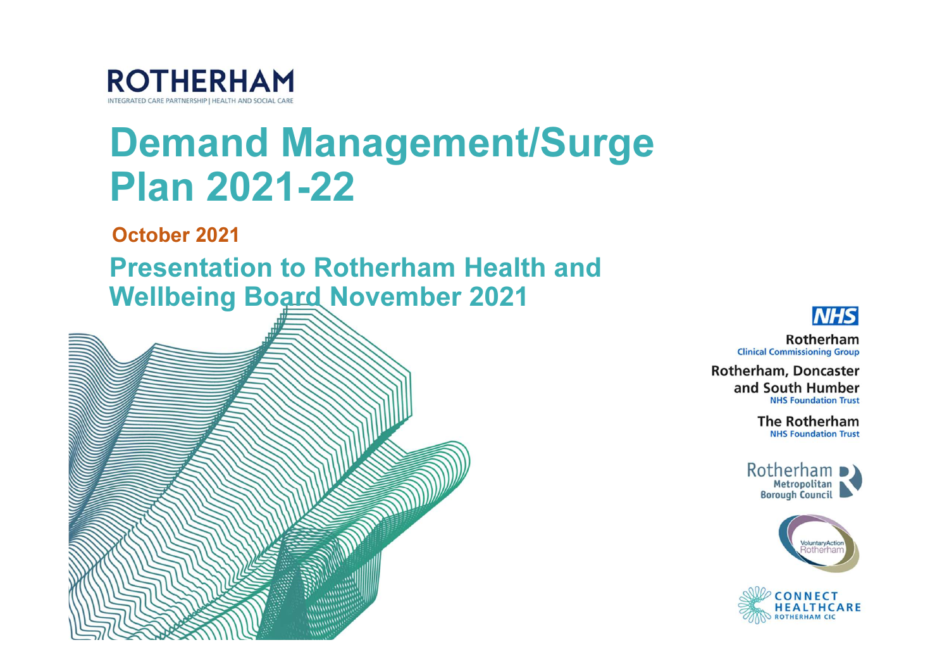

# Demand Management/Surge Plan 2021-22

October 2021

Presentation to Rotherham Health and Wellbeing Board November 2021





Rotherham **Clinical Commissioning Group** 

**Rotherham, Doncaster** and South Humber **NHS Foundation Trust** 

> **The Rotherham NHS Foundation Trust**





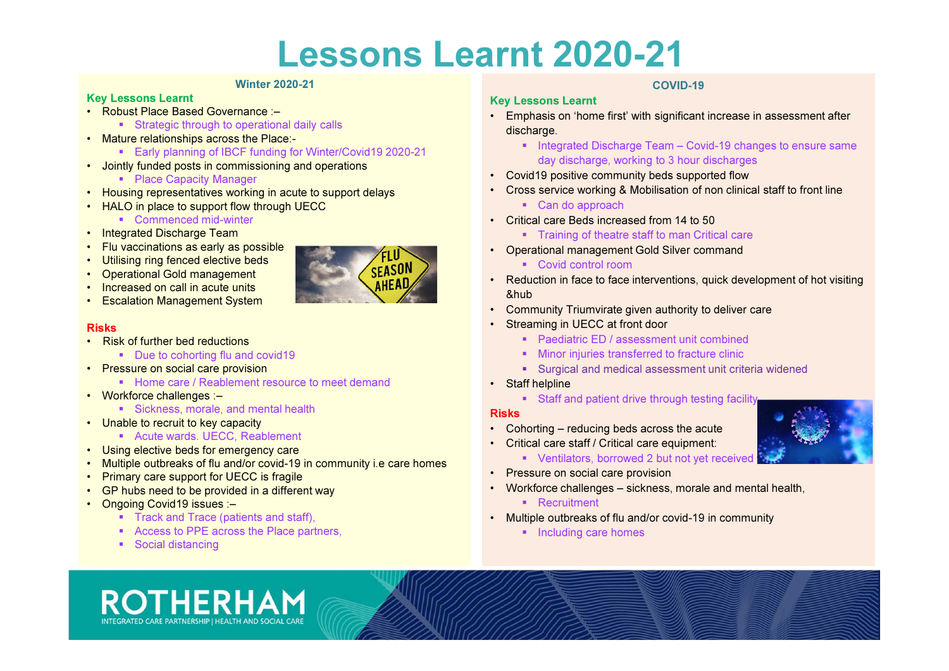# Lessons Learnt 2020-21

#### Winter 2020-21

#### Key Lessons Learnt

- Robust Place Based Governance :–
	- Strategic through to operational daily calls
- Mature relationships across the Place:-
	- Early planning of IBCF funding for Winter/Covid19 2020-21
- Jointly funded posts in commissioning and operations
	- Place Capacity Manager
- Housing representatives working in acute to support delays
- HALO in place to support flow through UECC
	- Commenced mid-winter
- Integrated Discharge Team
- Flu vaccinations as early as possible
- Utilising ring fenced elective beds
- Operational Gold management
- Increased on call in acute units
- Escalation Management System

#### Risks

- Risk of further bed reductions
	- Due to cohorting flu and covid19
- Pressure on social care provision
	- Home care / Reablement resource to meet demand
- Workforce challenges :–
	- Sickness, morale, and mental health
- Unable to recruit to key capacity
	- **Acute wards. UECC, Reablement**
- Using elective beds for emergency care
- Multiple outbreaks of flu and/or covid-19 in community i.e care homes
- Primary care support for UECC is fragile
- GP hubs need to be provided in a different way
- Ongoing Covid19 issues :–
	- Track and Trace (patients and staff),
	- Access to PPE across the Place partners,
	- Social distancing

### COVID-19

- Emphasis on 'home first' with significant increase in assessment after discharge.
	- Integrated Discharge Team Covid-19 changes to ensure same day discharge, working to 3 hour discharges
- Covid19 positive community beds supported flow
- Cross service working & Mobilisation of non clinical staff to front line
	- Can do approach

Key Lessons Learnt

- Critical care Beds increased from 14 to 50
	- Training of theatre staff to man Critical care
- Operational management Gold Silver command
	- Covid control room
- Reduction in face to face interventions, quick development of hot visiting &hub
- Community Triumvirate given authority to deliver care
- Streaming in UECC at front door
	- **Paediatric ED / assessment unit combined**
	- **Minor injuries transferred to fracture clinic**
	- **Surgical and medical assessment unit criteria widened**
- Staff helpline
	- Staff and patient drive through testing facility

#### Risks

- Cohorting reducing beds across the acute
- Critical care staff / Critical care equipment:
	- Ventilators, borrowed 2 but not yet received **for one service**
- Pressure on social care provision
- Workforce challenges sickness, morale and mental health,
	- Recruitment
- Multiple outbreaks of flu and/or covid-19 in community
	- Including care homes





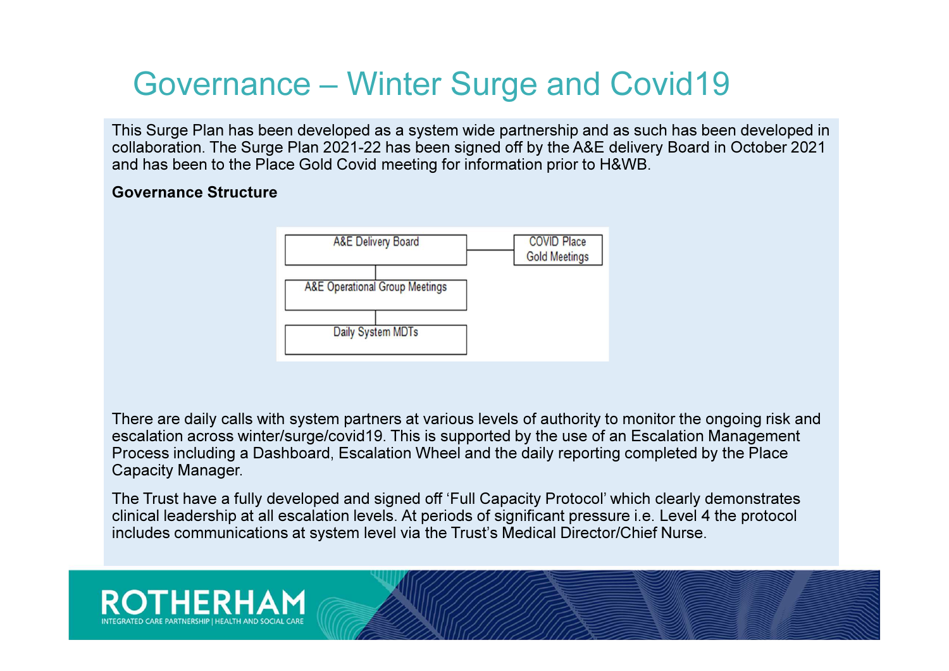### Governance – Winter Surge and Covid19

This Surge Plan has been developed as a system wide partnership and as such has been developed in collaboration. The Surge Plan 2021-22 has been signed off by the A&E delivery Board in October 2021 and has been to the Place Gold Covid meeting for information prior to H&WB.

### Governance Structure



There are daily calls with system partners at various levels of authority to monitor the ongoing risk and escalation across winter/surge/covid19. This is supported by the use of an Escalation Management Process including a Dashboard, Escalation Wheel and the daily reporting completed by the Place Capacity Manager.

The Trust have a fully developed and signed off 'Full Capacity Protocol' which clearly demonstrates clinical leadership at all escalation levels. At periods of significant pressure i.e. Level 4 the protocol includes communications at system level via the Trust's Medical Director/Chief Nurse.

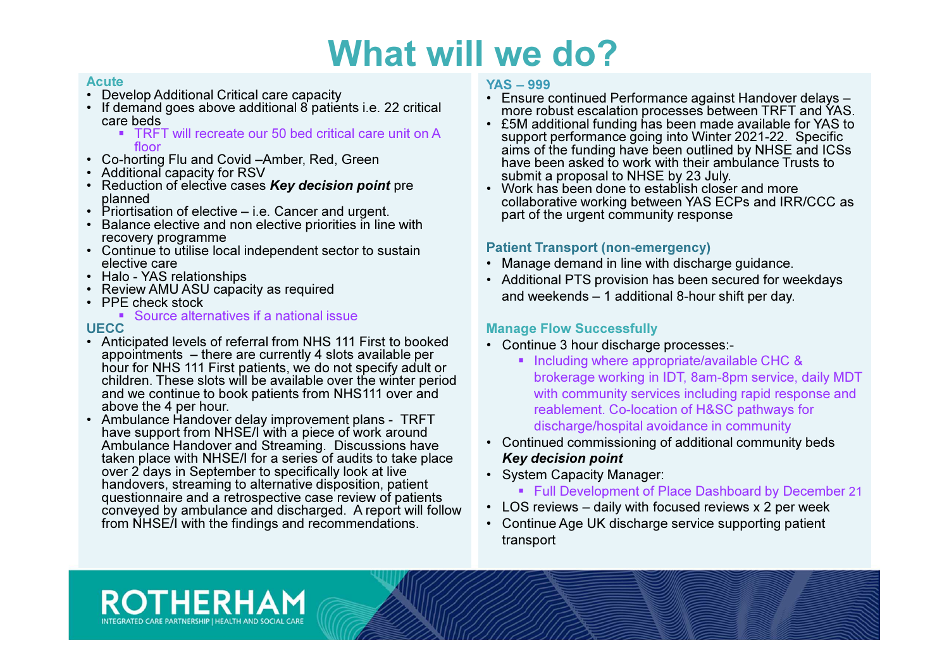#### **Acute**

- Develop Additional Critical care capacity
- If demand goes above additional 8 patients i.e. 22 critical care beds
	- TRFT will recreate our 50 bed critical care unit on A floor
- Co-horting Flu and Covid –Amber, Red, Green
- Additional capacity for RSV
- Reduction of elective cases Key decision point pre planned
- Priortisation of elective i.e. Cancer and urgent.
- Balance elective and non elective priorities in line with recovery programme
- Continue to utilise local independent sector to sustain elective care
- Halo YAS relationships
- Review AMU ASU capacity as required
- PPE check stock

### Source alternatives if a national issue

### **UECC**

- Anticipated levels of referral from NHS 111 First to booked appointments – there are currently 4 slots available per hour for NHS 111 First patients, we do not specify adult or children. These slots will be available over the winter period and we continue to book patients from NHS111 over and above the 4 per hour.
- Ambulance Handover delay improvement plans TRFT have support from NHSE/I with a piece of work around Ambulance Handover and Streaming. Discussions have taken place with NHSE/I for a series of audits to take place over 2 days in September to specifically look at live handovers, streaming to alternative disposition, patient questionnaire and a retrospective case review of patients conveyed by ambulance and discharged. A report will follow from NHSE/I with the findings and recommendations.

#### YAS – 999

- Ensure continued Performance against Handover delays –more robust escalation processes between TRFT and YAS.
- £5M additional funding has been made available for YAS to support performance going into Winter 2021-22. Specific aims of the funding have been outlined by NHSE and ICSs have been asked to work with their ambulance Trusts tosubmit a proposal to NHSE by 23 July.
- Work has been done to establish closer and more collaborative working between YAS ECPs and IRR/CCC as part of the urgent community response

### Patient Transport (non-emergency)

- Manage demand in line with discharge guidance.
- Additional PTS provision has been secured for weekdays and weekends – 1 additional 8-hour shift per day.

### Manage Flow Successfully

- Continue 3 hour discharge processes:-
	- Including where appropriate/available CHC & brokerage working in IDT, 8am-8pm service, daily MDT with community services including rapid response and reablement. Co-location of H&SC pathways for discharge/hospital avoidance in community
- Continued commissioning of additional community beds Key decision point
- System Capacity Manager:
	- **Full Development of Place Dashboard by December 21**
- LOS reviews daily with focused reviews x 2 per week
- Continue Age UK discharge service supporting patient transport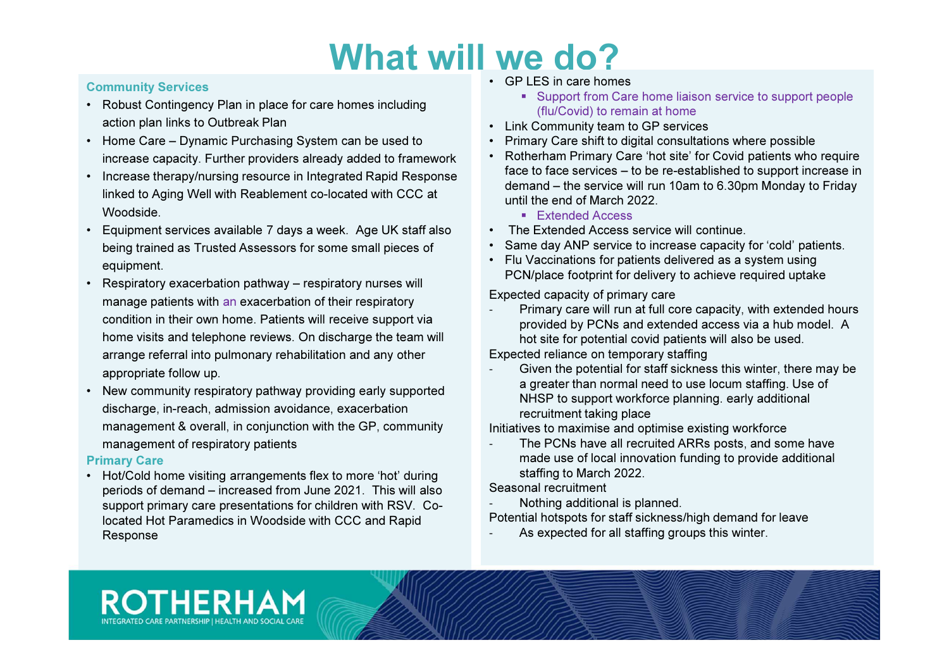#### Community Services

- Robust Contingency Plan in place for care homes including action plan links to Outbreak Plan
- Home Care Dynamic Purchasing System can be used to increase capacity. Further providers already added to framework
- Increase therapy/nursing resource in Integrated Rapid Response linked to Aging Well with Reablement co-located with CCC atWoodside.
- Equipment services available 7 days a week. Age UK staff alsobeing trained as Trusted Assessors for some small pieces of equipment.
- Respiratory exacerbation pathway respiratory nurses will manage patients with an exacerbation of their respiratory condition in their own home. Patients will receive support via home visits and telephone reviews. On discharge the team will arrange referral into pulmonary rehabilitation and any other appropriate follow up.
- New community respiratory pathway providing early supported discharge, in-reach, admission avoidance, exacerbation management & overall, in conjunction with the GP, community management of respiratory patients

### Primary Care

 • Hot/Cold home visiting arrangements flex to more 'hot' during periods of demand – increased from June 2021. This will also support primary care presentations for children with RSV. Colocated Hot Paramedics in Woodside with CCC and Rapid Response

**ROTHERHAM** 

- GP LES in care homes
	- **Support from Care home liaison service to support people** (flu/Covid) to remain at home
- Link Community team to GP services
- Primary Care shift to digital consultations where possible
- Rotherham Primary Care 'hot site' for Covid patients who require face to face services – to be re-established to support increase in demand – the service will run 10am to 6.30pm Monday to Fridayuntil the end of March 2022.
	- Extended Access
- The Extended Access service will continue.
- Same day ANP service to increase capacity for 'cold' patients.
- Flu Vaccinations for patients delivered as a system using PCN/place footprint for delivery to achieve required uptake

Expected capacity of primary care

- Primary care will run at full core capacity, with extended hours provided by PCNs and extended access via a hub model. A hot site for potential covid patients will also be used.

Expected reliance on temporary staffing

 Given the potential for staff sickness this winter, there may be a greater than normal need to use locum staffing. Use of NHSP to support workforce planning. early additional recruitment taking place

Initiatives to maximise and optimise existing workforce

 The PCNs have all recruited ARRs posts, and some have made use of local innovation funding to provide additional staffing to March 2022.

Seasonal recruitment

Nothing additional is planned.

Potential hotspots for staff sickness/high demand for leave

As expected for all staffing groups this winter.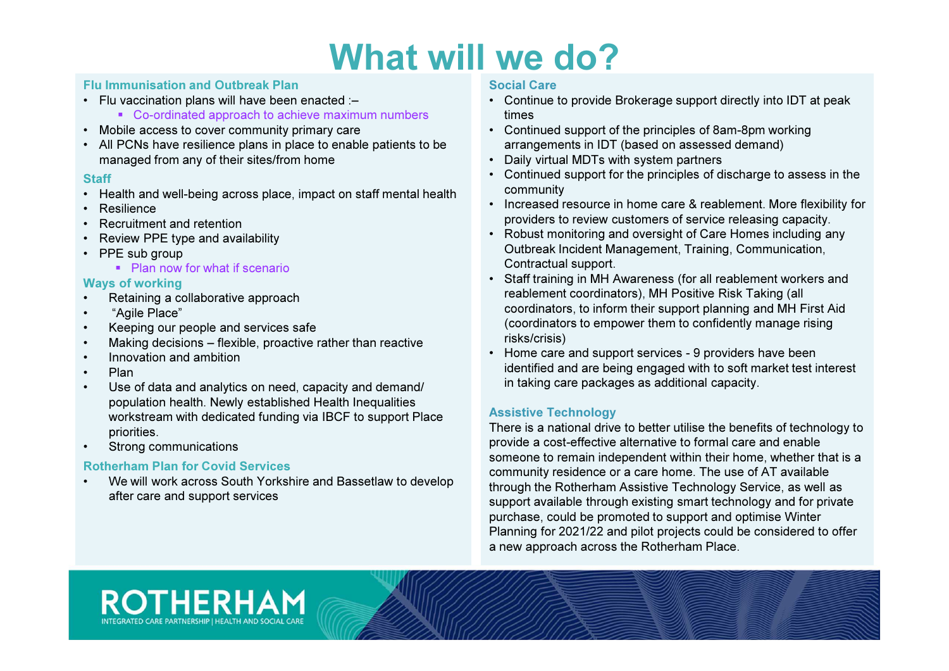#### Flu Immunisation and Outbreak Plan

- Flu vaccination plans will have been enacted :–
	- Co-ordinated approach to achieve maximum numbers
- Mobile access to cover community primary care
- All PCNs have resilience plans in place to enable patients to be managed from any of their sites/from home

#### **Staff**

- Health and well-being across place, impact on staff mental health
- Resilience
- Recruitment and retention•
- Review PPE type and availability •
- PPE sub group
	- Plan now for what if scenario

#### Ways of working

- Retaining a collaborative approach•
- •"Agile Place"
- Keeping our people and services safe•
- Making decisions flexible, proactive rather than reactive •
- •Innovation and ambition
- •Plan
- Use of data and analytics on need, capacity and demand/ •population health. Newly established Health Inequalities workstream with dedicated funding via IBCF to support Place priorities.
- Strong communications•

### Rotherham Plan for Covid Services

 We will work across South Yorkshire and Bassetlaw to develop •after care and support services

#### Social Care

- • Continue to provide Brokerage support directly into IDT at peak times
- Continued support of the principles of 8am-8pm working arrangements in IDT (based on assessed demand)
- Daily virtual MDTs with system partners
- Continued support for the principles of discharge to assess in the community
- Increased resource in home care & reablement. More flexibility for providers to review customers of service releasing capacity.
- Robust monitoring and oversight of Care Homes including any Outbreak Incident Management, Training, Communication, Contractual support.
- Staff training in MH Awareness (for all reablement workers and reablement coordinators), MH Positive Risk Taking (all coordinators, to inform their support planning and MH First Aid (coordinators to empower them to confidently manage rising risks/crisis)
- Home care and support services 9 providers have been identified and are being engaged with to soft market test interest in taking care packages as additional capacity.

#### Assistive Technology

 There is a national drive to better utilise the benefits of technology to provide a cost-effective alternative to formal care and enable someone to remain independent within their home, whether that is a community residence or a care home. The use of AT available through the Rotherham Assistive Technology Service, as well as support available through existing smart technology and for private purchase, could be promoted to support and optimise Winter Planning for 2021/22 and pilot projects could be considered to offer a new approach across the Rotherham Place.

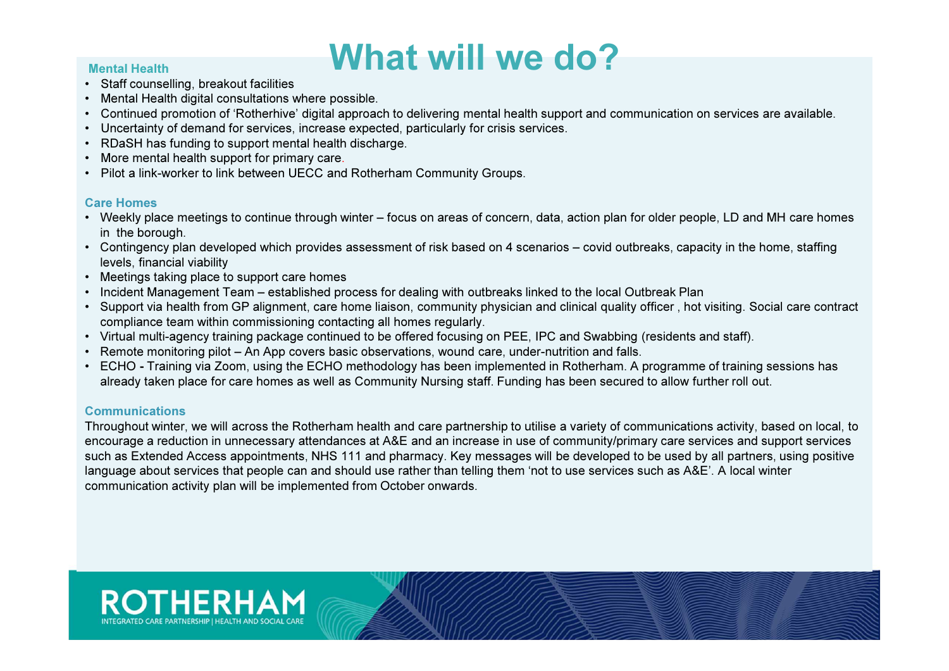#### Mental Health

- Staff counselling, breakout facilities
- Mental Health digital consultations where possible.
- Continued promotion of 'Rotherhive' digital approach to delivering mental health support and communication on services are available.
- Uncertainty of demand for services, increase expected, particularly for crisis services.
- RDaSH has funding to support mental health discharge.
- More mental health support for primary care.<br>• Pilot a link-worker to link between UECC and
- Pilot a link-worker to link between UECC and Rotherham Community Groups.

#### Care Homes

- Weekly place meetings to continue through winter focus on areas of concern, data, action plan for older people, LD and MH care homes in the borough.
- Contingency plan developed which provides assessment of risk based on 4 scenarios covid outbreaks, capacity in the home, staffing levels, financial viability
- Meetings taking place to support care homes
- Incident Management Team established process for dealing with outbreaks linked to the local Outbreak Plan
- Support via health from GP alignment, care home liaison, community physician and clinical quality officer , hot visiting. Social care contract compliance team within commissioning contacting all homes regularly. •
- Virtual multi-agency training package continued to be offered focusing on PEE, IPC and Swabbing (residents and staff).
- Remote monitoring pilot An App covers basic observations, wound care, under-nutrition and falls.
- ECHO Training via Zoom, using the ECHO methodology has been implemented in Rotherham. A programme of training sessions has<br>Reported the place for some hames as well as Community Numing staff. Euroling has been assumed already taken place for care homes as well as Community Nursing staff. Funding has been secured to allow further roll out.

### Communications

 Throughout winter, we will across the Rotherham health and care partnership to utilise a variety of communications activity, based on local, to encourage a reduction in unnecessary attendances at A&E and an increase in use of community/primary care services and support services such as Extended Access appointments, NHS 111 and pharmacy. Key messages will be developed to be used by all partners, using positive language about services that people can and should use rather than telling them 'not to use services such as A&E'. A local winter communication activity plan will be implemented from October onwards.

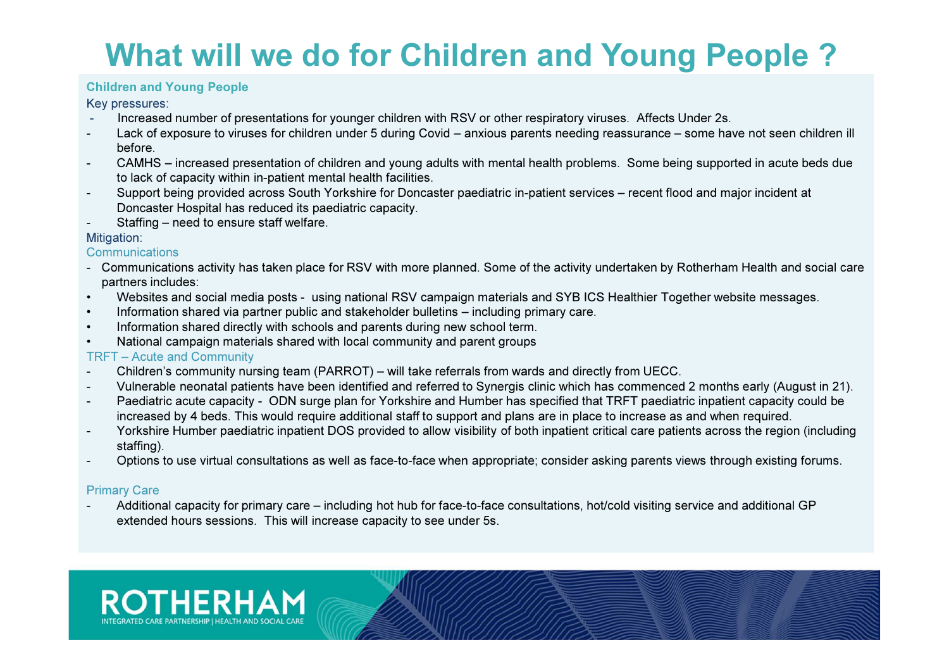## What will we do for Children and Young People ?

#### Children and Young People

Key pressures:<br>Increased

- Increased number of presentations for younger children with RSV or other respiratory viruses. Affects Under 2s.
- - Lack of exposure to viruses for children under 5 during Covid – anxious parents needing reassurance – some have not seen children ill before.
- CAMHS increased presentation of children and young adults with mental health problems. Some being supported in acute beds dueto lack of capacity within in-patient mental health facilities.
- Support being provided across South Yorkshire for Doncaster paediatric in-patient services recent flood and major incident at -Doncaster Hospital has reduced its paediatric capacity.
- -Staffing – need to ensure staff welfare.

#### Mitigation:

#### **Communications**

- Communications activity has taken place for RSV with more planned. Some of the activity undertaken by Rotherham Health and social care partners includes:
- Websites and social media posts using national RSV campaign materials and SYB ICS Healthier Together website messages.•
- •Information shared via partner public and stakeholder bulletins – including primary care.
- •Information shared directly with schools and parents during new school term.
- National campaign materials shared with local community and parent groups•

#### TRFT – Acute and Community

- Children's community nursing team (PARROT) will take referrals from wards and directly from UECC.-
- Vulnerable neonatal patients have been identified and referred to Synergis clinic which has commenced 2 months early (August in 21). -
- - Paediatric acute capacity - ODN surge plan for Yorkshire and Humber has specified that TRFT paediatric inpatient capacity could be increased by 4 beds. This would require additional staff to support and plans are in place to increase as and when required.
- Yorkshire Humber paediatric inpatient DOS provided to allow visibility of both inpatient critical care patients across the region (including staffing).
- Options to use virtual consultations as well as face-to-face when appropriate; consider asking parents views through existing forums.

### Primary Care

 Additional capacity for primary care – including hot hub for face-to-face consultations, hot/cold visiting service and additional GP extended hours sessions. This will increase capacity to see under 5s.

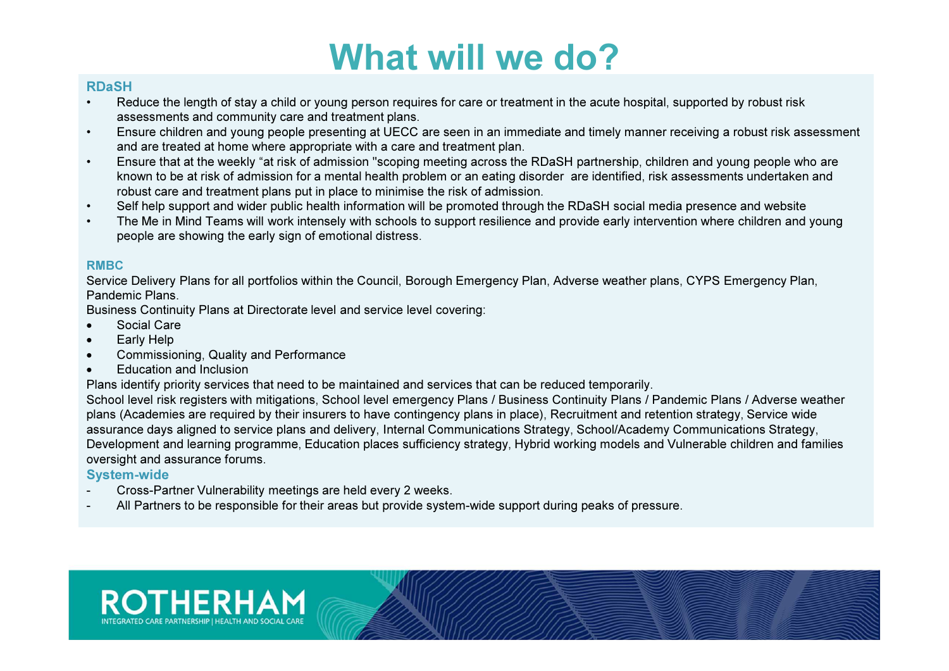### RDaSH

- Reduce the length of stay a child or young person requires for care or treatment in the acute hospital, supported by robust risk•assessments and community care and treatment plans.
- Ensure children and young people presenting at UECC are seen in an immediate and timely manner receiving a robust risk assessment •and are treated at home where appropriate with a care and treatment plan.
- Ensure that at the weekly "at risk of admission "scoping meeting across the RDaSH partnership, children and young people who are• known to be at risk of admission for a mental health problem or an eating disorder are identified, risk assessments undertaken and robust care and treatment plans put in place to minimise the risk of admission.
- Self help support and wider public health information will be promoted through the RDaSH social media presence and website•
- The Me in Mind Teams will work intensely with schools to support resilience and provide early intervention where children and young •people are showing the early sign of emotional distress.

#### RMBC

 Service Delivery Plans for all portfolios within the Council, Borough Emergency Plan, Adverse weather plans, CYPS Emergency Plan, Pandemic Plans.

Business Continuity Plans at Directorate level and service level covering:

- •Social Care
- Early Help •
- Commissioning, Quality and Performance•
- •Education and Inclusion

Plans identify priority services that need to be maintained and services that can be reduced temporarily.

 School level risk registers with mitigations, School level emergency Plans / Business Continuity Plans / Pandemic Plans / Adverse weather plans (Academies are required by their insurers to have contingency plans in place), Recruitment and retention strategy, Service wide assurance days aligned to service plans and delivery, Internal Communications Strategy, School/Academy Communications Strategy, Development and learning programme, Education places sufficiency strategy, Hybrid working models and Vulnerable children and families oversight and assurance forums.

### System-wide

- Cross-Partner Vulnerability meetings are held every 2 weeks. -
- All Partners to be responsible for their areas but provide system-wide support during peaks of pressure. -

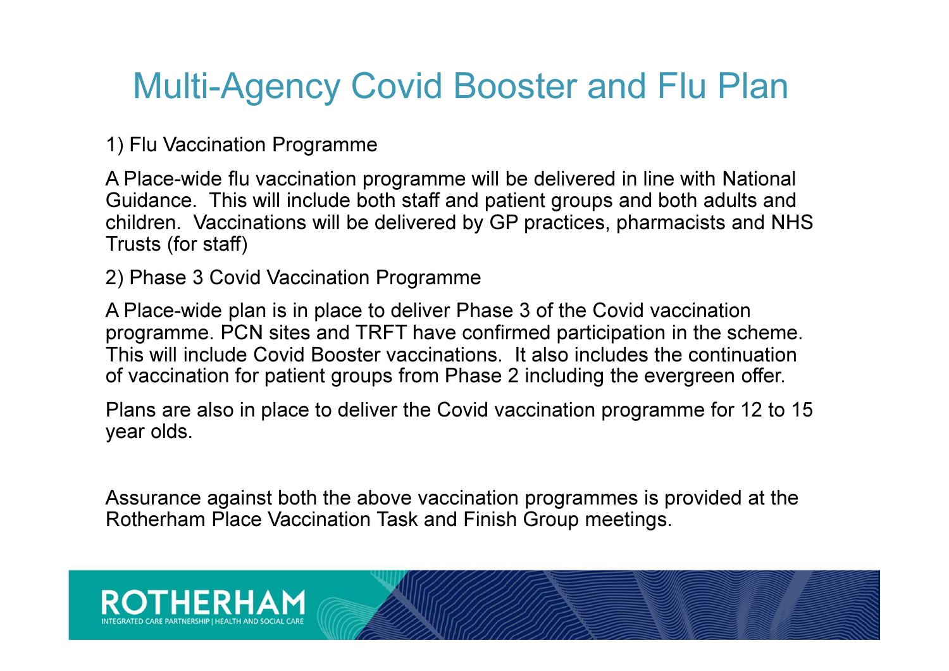# Multi-Agency Covid Booster and Flu Plan

1) Flu Vaccination Programme

A Place-wide flu vaccination programme will be delivered in line with National Guidance. This will include both staff and patient groups and both adults and children. Vaccinations will be delivered by GP practices, pharmacists and NHS Trusts (for staff)

2) Phase 3 Covid Vaccination Programme

A Place-wide plan is in place to deliver Phase 3 of the Covid vaccination programme. PCN sites and TRFT have confirmed participation in the scheme. This will include Covid Booster vaccinations. It also includes the continuation of vaccination for patient groups from Phase 2 including the evergreen offer.

Plans are also in place to deliver the Covid vaccination programme for 12 to 15 year olds.

Assurance against both the above vaccination programmes is provided at the Rotherham Place Vaccination Task and Finish Group meetings.